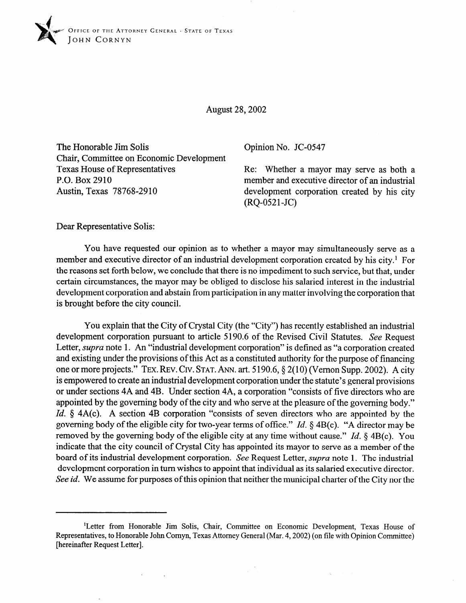

August 28,2002

The Honorable Jim Solis Chair, Committee on Economic Development Texas House of Representatives P.O. Box 2910 Austin, Texas 78768-29 10

Opinion No. JC-0547

Re: Whether a mayor may serve as both a member and executive director of an industrial development corporation created by his city (RQ-0521-JC)

Dear Representative Solis:

You have requested our opinion as to whether a mayor may simultaneously serve as a member and executive director of an industrial development corporation created by his city.' For the reasons set forth below, we conclude that there is no impediment to such service, but that, under certain circumstances, the mayor may be obliged to disclose his salaried interest in the industrial development corporation and abstain from participation in any matter involving the corporation that is brought before the city council.

You explain that the City of Crystal City (the "City") has recently established an industrial development corporation pursuant to article 5190.6 of the Revised Civil Statutes. See Request Letter, *supra* note 1. An "industrial development corporation" is defined as "a corporation created and existing under the provisions of this Act as a constituted authority for the purpose of financing one or more projects." **TEX.** REV. **CIV.** STAT. ANN. art. 5 190.6,§ 2(10) (Vernon Supp. 2002). A city is empowered to create an industrial development corporation under the statute's general provisions or under sections 4A and 4B. Under section 4A, a corporation "consists of five directors who are appointed by the governing body of the city and who serve at the pleasure of the governing body." *Id.* § 4A(c). A section 4B corporation "consists of seven directors who are appointed by the governing body of the eligible city for two-year terms of office." *Id.* § 4B(c). "A director may be removed by the governing body of the eligible city at any time without cause." *Id. 8* 4B(c). You indicate that the city council of Crystal City has appointed its mayor to serve as a member of the board of its industrial development corporation. See Request Letter, *supra* note 1. The industrial development corporation in turn wishes to appoint that individual as its salaried executive director. See *id.* We assume for purposes of this opinion that neither the municipal charter of the City nor the

<sup>&#</sup>x27;Letter from Honorable Jim Solis, Chair, Committee on Economic Development, Texas House of Representatives, to Honorable John Cornyn, Texas Attorney General (Mar. 4,2002) (on file with Opinion Committee) [hereinafter Request Letter].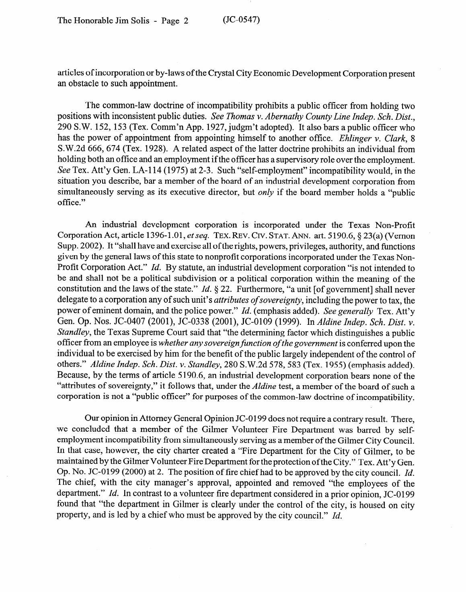articles of incorporation or by-laws of the Crystal City Economic Development Corporation present an obstacle to such appointment.

The common-law doctrine of incompatibility prohibits a public officer from holding two positions with inconsistent public duties. See *Thomas v. Abernathy County Line Indep. Sch. Dist.,*  290 SW. 152, 153 (Tex. Comm'n App. 1927, judgm't adopted). It also bars a public officer who has the power of appointment from appointing himself to another office. *Ehlinger v. Clark, 8*  S.W.2d 666, 674 (Tex. 1928). A related aspect of the latter doctrine prohibits an individual from holding both an office and an employment if the officer has a supervisory role over the employment. See Tex. Att'y Gen. LA-114 (1975) at 2-3. Such "self-employment" incompatibility would, in the situation you describe, bar a member of the board of an industrial development corporation from simultaneously serving as its executive director, but *only* if the board member holds a "public office."

An industrial development corporation is incorporated under the Texas Non-Profit Corporation Act, article 1396-1.01, *et seq.* TEX. REV. CIV. STAT. ANN. art. 5190.6, § 23(a) (Vernon Supp. 2002). It "shall have and exercise all of the rights, powers, privileges, authority, and functions given by the general laws of this state to nonprofit corporations incorporated under the Texas Non-Profit Corporation Act." Id. By statute, an industrial development corporation "is not intended to be and shall not be a political subdivision or a political corporation within the meaning of the constitution and the laws of the state." *Id.*  $\S 22$ . Furthermore, "a unit [of government] shall never delegate to a corporation any of such unit's *attributes of sovereignty*, including the power to tax, the power of eminent domain, and the police power." *Id.* (emphasis added). *See generally* Tex. Att'y Gen. Op. Nos. JC-0407 (2001), JC-0338 (2001), JC-0109 (1999). In Aldine Indep. Sch. Dist. v. *Standley*, the Texas Supreme Court said that "the determining factor which distinguishes a public officer from an employee is whether any sovereign function of the government is conferred upon the individual to be exercised by him for the benefit of the public largely independent of the control of others." Aldine Indep. Sch. Dist. v. Standley, 280 S.W.2d 578, 583 (Tex. 1955) (emphasis added). Because, by the terms of article 5190.6, an industrial development corporation bears none of the "attributes of sovereignty," it follows that, under the *Aldine* test, a member of the board of such a corporation is not a "public officer" for purposes of the common-law doctrine of incompatibility. corporation is not a  $\mathcal{L}$  for purposes of the common-law doctrine of incompatibility. In compatibility.

Our opinion in Attorney General Opinion JC-0199 does not require a contrary result. There, we concluded that a member of the Gilmer Volunteer Fire Department was barred by selfemployment incompatibility from simultaneously serving as a member of the Gilmer City Council. In that case, however, the city charter created a "Fire Department for the City of Gilmer, to be maintained by the Gilmer Volunteer Fire Department for the protection of the City." Tex. Att'y Gen. Op. No. JC-0199 (2000) at 2. The position of fire chief had to be approved by the city council. Id. The chief, with the city manager's approval, appointed and removed "the employees of the department." Id. In contrast to a volunteer fire department considered in a prior opinion, JC-0199 found that "the department in Gilmer is clearly under the control of the city, is housed on city property, and is led by a chief who must be approved by the city council."  $Id$ .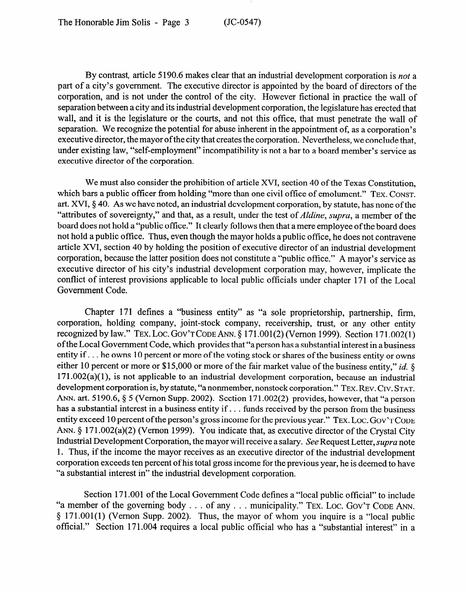By contrast, article 5 190.6 makes clear that an industrial development corporation is *not* a part of a city's government. The executive director is appointed by the board of directors of the corporation, and is not under the control of the city. However fictional in practice the wall of separation between a city and its industrial development corporation, the legislature has erected that wall, and it is the legislature or the courts, and not this office, that must penetrate the wall of separation. We recognize the potential for abuse inherent in the appointment of, as a corporation's executive director, the mayor of the city that creates the corporation. Nevertheless, we conclude that, under existing law, "self-employment" incompatibility is not a bar to a board member's service as executive director of the corporation.

We must also consider the prohibition of article XVI, section 40 of the Texas Constitution, which bars a public officer from holding "more than one civil office of emolument." TEX. CONST. art. XVI,  $\S$  40. As we have noted, an industrial development corporation, by statute, has none of the "attributes of sovereignty," and that, as a result, under the test of *Aldine, supra,* a member of the not hold a public office. Thus, even though the mayor holds a public office, he does not contravene not hold a public office. Thus, even though the mayor holds a public office, he does not contravene article XVI, section 40 by holding the position of executive director of an industrial development corporation, because the latter position does not constitute a "public office." A mayor's service as executive director of his city's industrial development corporation may, however, implicate the executive director of his city's industrial development corporation may, however, implicate the conflict of interest provisions applicable to local public officials under chapter 171 of the Local Government Code.

Chapter 171 defines a "business entity" as "a sole proprietorship, partnership, firm, corporation, holding company, joint-stock company, receivership, trust, or any other entity recognized by law." TEX. LOC. GOV'T CODE ANN.  $\S 171.001(2)$  (Vernon 1999). Section 171.002(1) of the Local Government Code, which provides that "a person has a substantial interest in a business entity if ... he owns 10 percent or more of the voting stock or shares of the business entity or owns either 10 percent or more or \$15,000 or more of the fair market value of the business entity," id.  $\delta$ 171.002(a)(1), is not applicable to an industrial development corporation, because an industrial development corporation is, by statute, "a nonmember, nonstock corporation." TEX. REV. CIV. STAT. ANN. art. 5190.6, § 5 (Vernon Supp. 2002). Section 171.002(2) provides, however, that "a person has a substantial interest in a business entity if  $\ldots$  funds received by the person from the business entity exceed 10 percent of the person's gross income for the previous year." Tex. Loc. Gov'r Cope ANN. § 171.002(a)(2) (Vernon 1999). You indicate that, as executive director of the Crystal City. Industrial Development Corporation, the mayor will receive a salary. See Request Letter, *supra* note 1. Thus, if the income the mayor receives as an executive director of the industrial development corporation exceeds ten percent of his total gross income for the previous year, he is deemed to have "a substantial interest in" the industrial development corporation.

Section 171.001 of the Local Government Code defines a "local public official" to include "a member of the governing body  $\ldots$  of any  $\ldots$  municipality." TEX. LOC. GOV'T CODE ANN.  $\frac{1}{2}$  171.001(1) (Vernon Supp. 2002). Thus, the mayor of whom you inquire is a "local public official." Section 171.004 requires a local public official who has a "substantial interest" in a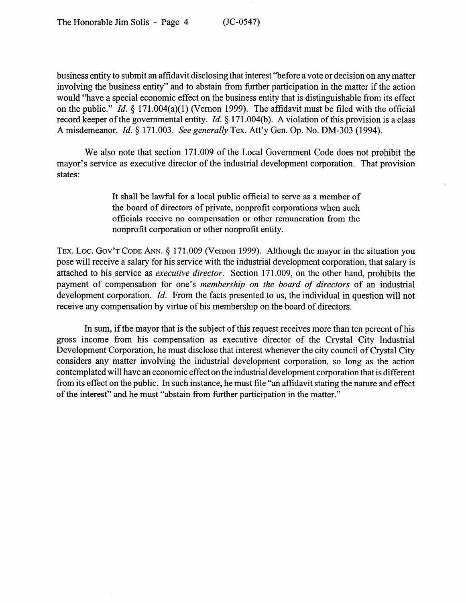business entity to submit an affidavit disclosing that interest "before a vote or decision on any matter involving the business entity" and to abstain from further participation in the matter if the action would "have a special economic effect on the business entity that is distinguishable from its effect on the public." *Id.* § 171.004(a)(1) (Vernon 1999). The affidavit must be filed with the official record keeper of the governmental entity. *Id.* § 171.004(b). A violation of this provision is a class A misdemeanor. *Id. 9* 171.003. *See generally* Tex. Att'y Gen. Op. No. DM-303 (1994).

We also note that section 171.009 of the Local Government Code does not prohibit the mayor's service as executive director of the industrial development corporation. That provision states:

> It shall be lawful for a local public official to serve as a member of the board of directors of private, nonprofit corporations when such officials receive no compensation or other remuneration from the nonprofit corporation or other nonprofit entity.

TEX. LOC. GOV'T CODE ANN. § 171.009 (Vernon 1999). Although the mayor in the situation you pose will receive a salary for his service with the industrial development corporation, that salary is attached to his service as *executive director.* Section 171.009, on the other hand, prohibits the payment of compensation for one's *membership on the board of directors* of an industrial development corporation. *Id.* From the facts presented to us, the individual in question will not receive any compensation by virtue of his membership on the board of directors.

In sum, if the mayor that is the subject of this request receives more than ten percent of his gross income from his compensation as executive director of the Crystal City Industrial Development Corporation, he must disclose that interest whenever the city council of Crystal City considers any matter involving the industrial development corporation, so long as the action contemplated will have an economic effect on the industrial development corporation that is different from its effect on the public. In such instance, he must file "an affidavit stating the nature and effect of the interest" and he must "abstain from further participation in the matter."